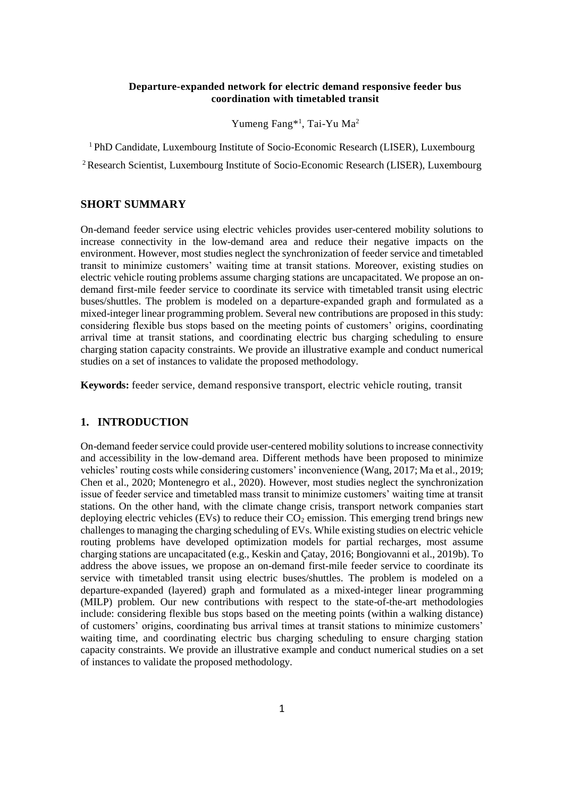#### **Departure-expanded network for electric demand responsive feeder bus coordination with timetabled transit**

Yumeng Fang<sup>\*1</sup>, Tai-Yu Ma<sup>2</sup>

<sup>1</sup> PhD Candidate, Luxembourg Institute of Socio-Economic Research (LISER), Luxembourg

<sup>2</sup> Research Scientist, Luxembourg Institute of Socio-Economic Research (LISER), Luxembourg

### **SHORT SUMMARY**

On-demand feeder service using electric vehicles provides user-centered mobility solutions to increase connectivity in the low-demand area and reduce their negative impacts on the environment. However, most studies neglect the synchronization of feeder service and timetabled transit to minimize customers' waiting time at transit stations. Moreover, existing studies on electric vehicle routing problems assume charging stations are uncapacitated. We propose an ondemand first-mile feeder service to coordinate its service with timetabled transit using electric buses/shuttles. The problem is modeled on a departure-expanded graph and formulated as a mixed-integer linear programming problem. Several new contributions are proposed in this study: considering flexible bus stops based on the meeting points of customers' origins, coordinating arrival time at transit stations, and coordinating electric bus charging scheduling to ensure charging station capacity constraints. We provide an illustrative example and conduct numerical studies on a set of instances to validate the proposed methodology.

**Keywords:** feeder service, demand responsive transport, electric vehicle routing, transit

## **1. INTRODUCTION**

On-demand feeder service could provide user-centered mobility solutions to increase connectivity and accessibility in the low-demand area. Different methods have been proposed to minimize vehicles' routing costs while considering customers' inconvenience (Wang, 2017; Ma et al., 2019; Chen et al., 2020; Montenegro et al., 2020). However, most studies neglect the synchronization issue of feeder service and timetabled mass transit to minimize customers' waiting time at transit stations. On the other hand, with the climate change crisis, transport network companies start deploying electric vehicles (EVs) to reduce their  $CO<sub>2</sub>$  emission. This emerging trend brings new challenges to managing the charging scheduling of EVs. While existing studies on electric vehicle routing problems have developed optimization models for partial recharges, most assume charging stations are uncapacitated (e.g., Keskin and Çatay, 2016; Bongiovanni et al., 2019b). To address the above issues, we propose an on-demand first-mile feeder service to coordinate its service with timetabled transit using electric buses/shuttles. The problem is modeled on a departure-expanded (layered) graph and formulated as a mixed-integer linear programming (MILP) problem. Our new contributions with respect to the state-of-the-art methodologies include: considering flexible bus stops based on the meeting points (within a walking distance) of customers' origins, coordinating bus arrival times at transit stations to minimize customers' waiting time, and coordinating electric bus charging scheduling to ensure charging station capacity constraints. We provide an illustrative example and conduct numerical studies on a set of instances to validate the proposed methodology.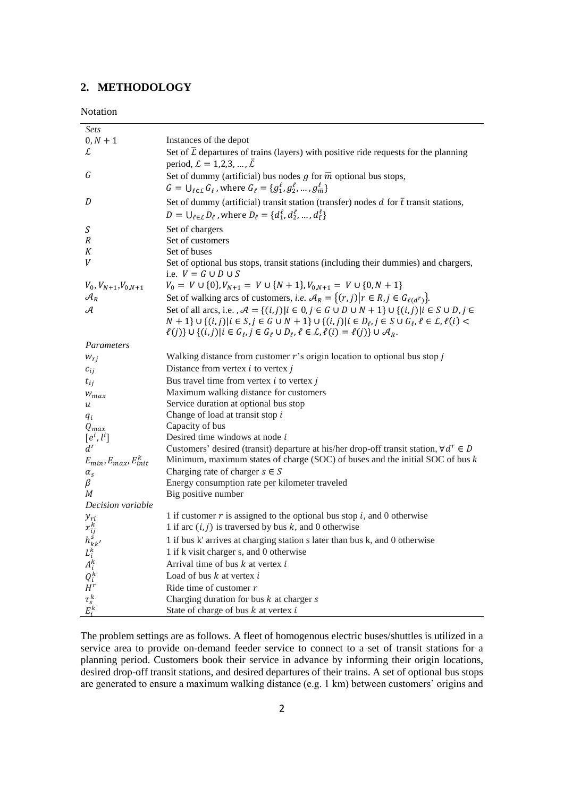# **2. METHODOLOGY**

| <b>Sets</b>                                                                                  |                                                                                                                                                          |
|----------------------------------------------------------------------------------------------|----------------------------------------------------------------------------------------------------------------------------------------------------------|
| $0, N + 1$                                                                                   | Instances of the depot                                                                                                                                   |
| L                                                                                            | Set of $\overline{L}$ departures of trains (layers) with positive ride requests for the planning<br>period, $\mathcal{L} = 1, 2, 3, , \bar{\mathcal{L}}$ |
| G                                                                                            | Set of dummy (artificial) bus nodes $g$ for $\overline{m}$ optional bus stops,                                                                           |
|                                                                                              | $G = \bigcup_{\ell \in \mathcal{L}} G_{\ell}$ , where $G_{\ell} = \{g_1^{\ell}, g_2^{\ell}, , g_m^{\ell}\}$                                              |
| D                                                                                            | Set of dummy (artificial) transit station (transfer) nodes $d$ for $\bar{t}$ transit stations,                                                           |
|                                                                                              | $D = \bigcup_{\ell \in \mathcal{L}} D_{\ell}$ , where $D_{\ell} = \{d_1^{\ell}, d_2^{\ell}, , d_{\bar{\ell}}^{\ell}\}$                                   |
| S                                                                                            | Set of chargers                                                                                                                                          |
| R                                                                                            | Set of customers                                                                                                                                         |
| К                                                                                            | Set of buses                                                                                                                                             |
| V                                                                                            | Set of optional bus stops, transit stations (including their dummies) and chargers,                                                                      |
|                                                                                              | i.e. $V = G \cup D \cup S$                                                                                                                               |
| $V_0, V_{N+1}, V_{0,N+1}$                                                                    | $V_0 = V \cup \{0\}, V_{N+1} = V \cup \{N+1\}, V_{0,N+1} = V \cup \{0,N+1\}$                                                                             |
| $\mathcal{A}_R$                                                                              | Set of walking arcs of customers, <i>i.e.</i> $\mathcal{A}_R = \{(r,j)   r \in R, j \in G_{\ell(d^r)}\}.$                                                |
| А                                                                                            | Set of all arcs, i.e., $A = \{(i, j)   i \in 0, j \in G \cup D \cup N + 1\} \cup \{(i, j)   i \in S \cup D, j \in I\}$                                   |
|                                                                                              | $N + 1$ } ∪ { $(i, j)   i \in S, j \in G \cup N + 1$ } ∪ { $(i, j)   i \in D_{\ell}, j \in S \cup G_{\ell}, \ell \in L, \ell(i)$ <                       |
|                                                                                              | $\ell(j)\} \cup \{(i,j) i \in G_\ell, j \in G_\ell \cup D_\ell, \ell \in \mathcal{L}, \ell(i) = \ell(j)\} \cup \mathcal{A}_R.$                           |
| Parameters                                                                                   |                                                                                                                                                          |
| $W_{ri}$                                                                                     | Walking distance from customer $r$ 's origin location to optional bus stop $j$                                                                           |
| $c_{ij}$                                                                                     | Distance from vertex $i$ to vertex $j$                                                                                                                   |
| $t_{ij}$                                                                                     | Bus travel time from vertex $i$ to vertex $j$                                                                                                            |
| $W_{max}$                                                                                    | Maximum walking distance for customers                                                                                                                   |
| $\boldsymbol{u}$                                                                             | Service duration at optional bus stop                                                                                                                    |
| $q_i$                                                                                        | Change of load at transit stop i                                                                                                                         |
| $Q_{max}$                                                                                    | Capacity of bus                                                                                                                                          |
| $[e^i, l^i]$                                                                                 | Desired time windows at node $i$                                                                                                                         |
| $d^r$                                                                                        | Customers' desired (transit) departure at his/her drop-off transit station, $\forall d^r \in D$                                                          |
| $E_{min}, E_{max}, E_{init}^k$                                                               | Minimum, maximum states of charge (SOC) of buses and the initial SOC of bus $k$<br>Charging rate of charger $s \in S$                                    |
| $\alpha_{\rm s}$<br>β                                                                        | Energy consumption rate per kilometer traveled                                                                                                           |
| M                                                                                            | Big positive number                                                                                                                                      |
| Decision variable                                                                            |                                                                                                                                                          |
| $y_{ri}$                                                                                     | 1 if customer $r$ is assigned to the optional bus stop $i$ , and 0 otherwise                                                                             |
|                                                                                              | 1 if arc $(i, j)$ is traversed by bus k, and 0 otherwise                                                                                                 |
|                                                                                              | 1 if bus k' arrives at charging station s later than bus k, and 0 otherwise                                                                              |
|                                                                                              | 1 if k visit charger s, and 0 otherwise                                                                                                                  |
|                                                                                              | Arrival time of bus $k$ at vertex $i$                                                                                                                    |
| $x_{ij}^k$<br>$h_{kk'}^s$<br>$L_i^k$<br>$A_i^k$<br>$Q_i^k$<br>$H^r$<br>$\tau_s^k$<br>$E_i^k$ | Load of bus $k$ at vertex $i$                                                                                                                            |
|                                                                                              | Ride time of customer $r$                                                                                                                                |
|                                                                                              | Charging duration for bus $k$ at charger $s$                                                                                                             |
|                                                                                              | State of charge of bus $k$ at vertex $i$                                                                                                                 |

The problem settings are as follows. A fleet of homogenous electric buses/shuttles is utilized in a service area to provide on-demand feeder service to connect to a set of transit stations for a planning period. Customers book their service in advance by informing their origin locations, desired drop-off transit stations, and desired departures of their trains. A set of optional bus stops are generated to ensure a maximum walking distance (e.g. 1 km) between customers' origins and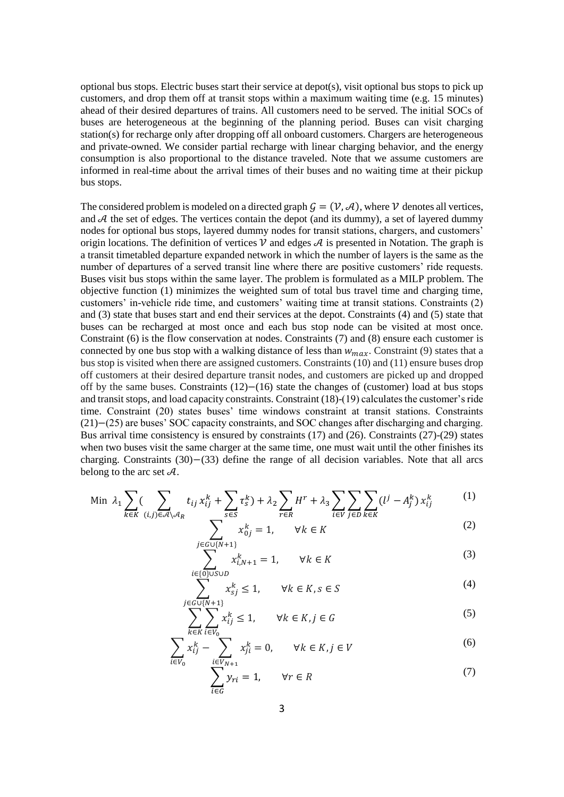optional bus stops. Electric buses start their service at  $\text{depot}(s)$ , visit optional bus stops to pick up customers, and drop them off at transit stops within a maximum waiting time (e.g. 15 minutes) ahead of their desired departures of trains. All customers need to be served. The initial SOCs of buses are heterogeneous at the beginning of the planning period. Buses can visit charging station(s) for recharge only after dropping off all onboard customers. Chargers are heterogeneous and private-owned. We consider partial recharge with linear charging behavior, and the energy consumption is also proportional to the distance traveled. Note that we assume customers are informed in real-time about the arrival times of their buses and no waiting time at their pickup bus stops.

The considered problem is modeled on a directed graph  $G = (\mathcal{V}, \mathcal{A})$ , where  $\mathcal V$  denotes all vertices, and  $A$  the set of edges. The vertices contain the depot (and its dummy), a set of layered dummy nodes for optional bus stops, layered dummy nodes for transit stations, chargers, and customers' origin locations. The definition of vertices  $\nu$  and edges  $\mathcal A$  is presented in Notation. The graph is a transit timetabled departure expanded network in which the number of layers is the same as the number of departures of a served transit line where there are positive customers' ride requests. Buses visit bus stops within the same layer. The problem is formulated as a MILP problem. The objective function (1) minimizes the weighted sum of total bus travel time and charging time, customers' in-vehicle ride time, and customers' waiting time at transit stations. Constraints (2) and (3) state that buses start and end their services at the depot. Constraints (4) and (5) state that buses can be recharged at most once and each bus stop node can be visited at most once. Constraint (6) is the flow conservation at nodes. Constraints (7) and (8) ensure each customer is connected by one bus stop with a walking distance of less than  $w_{max}$ . Constraint (9) states that a bus stop is visited when there are assigned customers. Constraints (10) and (11) ensure buses drop off customers at their desired departure transit nodes, and customers are picked up and dropped off by the same buses. Constraints (12)−(16) state the changes of (customer) load at bus stops and transit stops, and load capacity constraints. Constraint (18)-(19) calculates the customer's ride time. Constraint (20) states buses' time windows constraint at transit stations. Constraints (21)−(25) are buses' SOC capacity constraints, and SOC changes after discharging and charging. Bus arrival time consistency is ensured by constraints (17) and (26). Constraints (27)-(29) states when two buses visit the same charger at the same time, one must wait until the other finishes its charging. Constraints (30)−(33) define the range of all decision variables. Note that all arcs belong to the arc set  $\mathcal{A}$ .

Min 
$$
\lambda_1 \sum_{k \in K} (\sum_{(i,j) \in \mathcal{A} \setminus \mathcal{A}_R} t_{ij} x_{ij}^k + \sum_{s \in S} \tau_s^k) + \lambda_2 \sum_{r \in R} H^r + \lambda_3 \sum_{i \in V} \sum_{j \in D} \sum_{k \in K} (l^j - A_j^k) x_{ij}^k
$$
 (1)

$$
\sum_{j \in N+1, j} x_{0j}^k = 1, \qquad \forall k \in K \tag{2}
$$

$$
\sum_{i=1}^{j \in G \cup \{N+1\}} x_{i,N+1}^k = 1, \qquad \forall k \in K
$$
 (3)

$$
\sum_{i \in \{i\}}^{i \in \{0\} \cup S \cup D} x_{sj}^k \le 1, \qquad \forall k \in K, s \in S
$$
\n<sup>(4)</sup>

$$
\sum_{i \in V} \sum_{i \in V} x_{ij}^k \le 1, \qquad \forall k \in K, j \in G
$$
 (5)

$$
\sum_{i \in V_0} x_{ij}^k - \sum_{i \in V_{N+1}} x_{ji}^k = 0, \qquad \forall k \in K, j \in V
$$
 (6)

$$
\sum_{i \in G}^{N+1} y_{ri} = 1, \qquad \forall r \in R \tag{7}
$$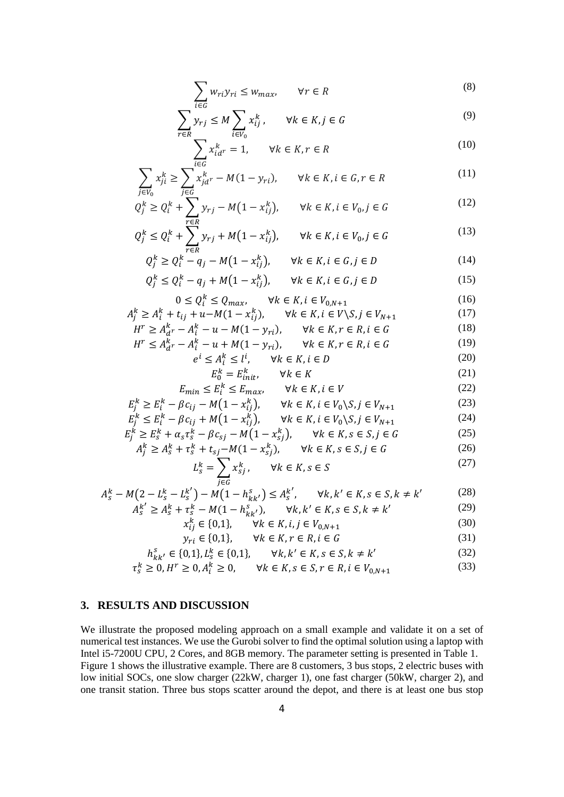$$
\sum_{i \in G} w_{ri} y_{ri} \le w_{max}, \qquad \forall r \in R
$$
\n(8)

$$
\sum_{r \in R} y_{rj} \le M \sum_{i \in V_0} x_{ij}^k, \qquad \forall k \in K, j \in G
$$
\n<sup>(9)</sup>

$$
\sum_{i \in C} x_{id}^k = 1, \qquad \forall k \in K, r \in R
$$
 (10)

$$
\sum_{j \in V_0} x_{ji}^k \ge \sum_{j \in G} x_{jd}^k - M(1 - y_{ri}), \qquad \forall k \in K, i \in G, r \in R
$$
\n
$$
(11)
$$

$$
Q_j^k \ge Q_i^k + \sum_{r \in R} y_{rj} - M(1 - x_{ij}^k), \qquad \forall k \in K, i \in V_0, j \in G
$$
 (12)

$$
Q_j^k \le Q_i^k + \sum_{r \in R}^{N} y_{rj} + M(1 - x_{ij}^k), \qquad \forall k \in K, i \in V_0, j \in G
$$
 (13)

$$
Q_j^k \ge Q_i^k - q_j - M(1 - x_{ij}^k), \qquad \forall k \in K, i \in G, j \in D
$$
\n
$$
Q_j^k \le Q_j^k \qquad \dots \qquad M(1 - x_{ij}^k) \qquad \dots \qquad M(1 - x_{ij}^k) \qquad \dots \qquad (15)
$$

$$
Q_j^k \le Q_i^k - q_j + M(1 - x_{ij}^k), \qquad \forall k \in K, i \in G, j \in D
$$
 (15)

#### $0 \le Q_i^k \le Q_{max}, \qquad \forall k \in K, i \in V_{0,N+1}$ (16)

$$
0 \le Q_i^* \le Q_{max}, \qquad \forall k \in K, i \in V_{0,N+1}
$$
\n
$$
A_j^k \ge A_i^k + t_{ij} + u - M(1 - x_{ij}^k), \qquad \forall k \in K, i \in V \setminus S, j \in V_{N+1}
$$
\n
$$
H^r > A_{sr}^k - A_r^k - u - M(1 - x_{si}) \qquad \forall k \in K, r \in R, i \in G
$$
\n
$$
(18)
$$

$$
r \ge A_{d}^{k} - A_{i}^{k} - u - M(1 - y_{ri}), \qquad \forall k \in K, r \in R, i \in G
$$
\n
$$
r \le A_{i}^{k} - A_{i}^{k} - u + M(1 - y_{ri}), \qquad \forall k \in K, r \in R, i \in G
$$
\n
$$
(18)
$$

$$
H^r \le A_d^k - A_i^k - u + M(1 - y_{ri}), \qquad \forall k \in K, r \in R, i \in G \tag{19}
$$

- $e^i \le A_i^k \le l^i, \qquad \forall k \in K, i \in D$  (20)
	- $E_0^k = E_{init}^k$ ,  $\forall k \in K$  (21)

$$
E_{min} \le E_i^k \le E_{max}, \qquad \forall k \in K, i \in V
$$
\n
$$
(22)
$$
\n
$$
(23)
$$

$$
E_j^k \ge E_i^k - \beta c_{ij} - M(1 - x_{ij}^k), \qquad \forall k \in K, i \in V_0 \setminus S, j \in V_{N+1}
$$
\n
$$
E_j^k \le E_j^k - \beta c_{ij} + M(1 - x_{ij}^k), \qquad \forall k \in K, i \in V_0 \setminus S, j \in V_{N+1}
$$
\n
$$
(23)
$$

$$
E_j^k \le E_i^k - \beta c_{ij} + M(1 - x_{ij}^k), \qquad \forall k \in K, i \in V_0 \setminus S, j \in V_{N+1}
$$
(24)

$$
E_j^k \ge E_s^k + \alpha_s \tau_s^k - \beta c_{sj} - M(1 - x_{sj}^k), \qquad \forall k \in K, s \in S, j \in G
$$
\n
$$
(25)
$$

$$
A_j^k \ge A_s^k + \tau_s^k + t_{sj} - M(1 - \tau_{sj}^k), \qquad \forall k \in K, s \in S, j \in G
$$
\n
$$
(26)
$$

$$
L_s^k = \sum_{j \in G} x_{sj}^k, \qquad \forall k \in K, s \in S \tag{27}
$$

$$
A_{s}^{k} - M\left(2 - L_{s}^{k} - L_{s}^{k'}\right) - M\left(1 - h_{kk'}^{s}\right) \le A_{s}^{k'}, \qquad \forall k, k' \in K, s \in S, k \ne k' \tag{28}
$$
\n
$$
A_{s}^{k'} \ge A_{s}^{k} + \tau_{s}^{k} - M(1 - h_{kk'}^{s}), \qquad \forall k, k' \in K, s \in S, k \ne k' \tag{29}
$$

$$
\geq A_{S}^{k} + \tau_{S}^{k} - M(1 - h_{kk'}^{s}), \qquad \forall k, k' \in K, s \in S, k \neq k' \tag{29}
$$

$$
x_{ij}^k \in \{0,1\}, \qquad \forall k \in K, i, j \in V_{0,N+1}
$$
\n(30)

$$
y_{ri} \in \{0,1\}, \qquad \forall k \in K, r \in R, i \in G \tag{31}
$$

$$
h_{kk'}^s \in \{0,1\}, L_s^k \in \{0,1\}, \qquad \forall k, k' \in K, s \in S, k \neq k'
$$
 (32)

$$
\tau_s^k \ge 0, H^r \ge 0, A_i^k \ge 0, \qquad \forall k \in K, s \in S, r \in R, i \in V_{0,N+1}
$$
\n(33)

# **3. RESULTS AND DISCUSSION**

We illustrate the proposed modeling approach on a small example and validate it on a set of numerical test instances. We use the Gurobi solver to find the optimal solution using a laptop with Intel i5-7200U CPU, 2 Cores, and 8GB memory. The parameter setting is presented in Table 1. Figure 1 shows the illustrative example. There are 8 customers, 3 bus stops, 2 electric buses with low initial SOCs, one slow charger (22kW, charger 1), one fast charger (50kW, charger 2), and one transit station. Three bus stops scatter around the depot, and there is at least one bus stop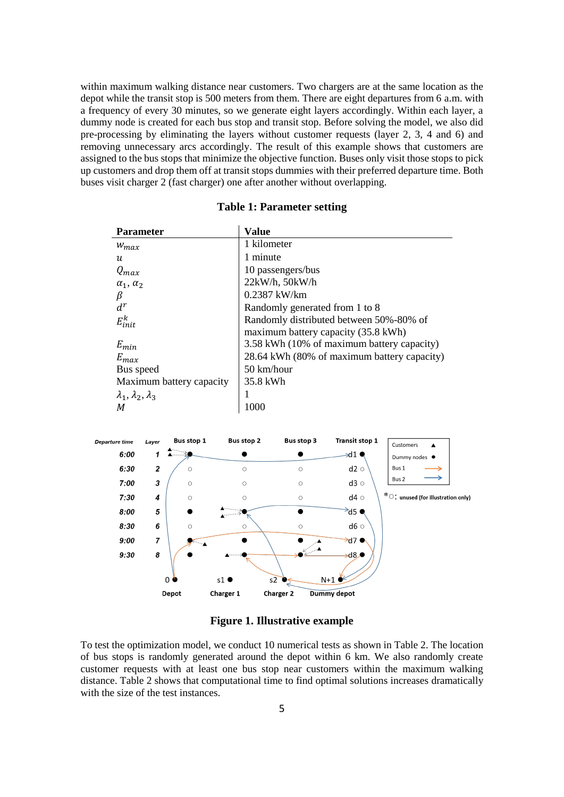within maximum walking distance near customers. Two chargers are at the same location as the depot while the transit stop is 500 meters from them. There are eight departures from 6 a.m. with a frequency of every 30 minutes, so we generate eight layers accordingly. Within each layer, a dummy node is created for each bus stop and transit stop. Before solving the model, we also did pre-processing by eliminating the layers without customer requests (layer 2, 3, 4 and 6) and removing unnecessary arcs accordingly. The result of this example shows that customers are assigned to the bus stops that minimize the objective function. Buses only visit those stops to pick up customers and drop them off at transit stops dummies with their preferred departure time. Both buses visit charger 2 (fast charger) one after another without overlapping.

| <b>Parameter</b>                  | <b>Value</b>                                |
|-----------------------------------|---------------------------------------------|
| $W_{max}$                         | 1 kilometer                                 |
| $\boldsymbol{u}$                  | 1 minute                                    |
| $Q_{max}$                         | 10 passengers/bus                           |
| $\alpha_1, \alpha_2$              | $22kW/h$ , $50kW/h$                         |
| β                                 | $0.2387$ kW/km                              |
| $d^r$                             | Randomly generated from 1 to 8              |
| $E_{init}^k$                      | Randomly distributed between 50%-80% of     |
|                                   | maximum battery capacity (35.8 kWh)         |
| $E_{min}$                         | 3.58 kWh (10% of maximum battery capacity)  |
| $E_{max}$                         | 28.64 kWh (80% of maximum battery capacity) |
| Bus speed                         | 50 km/hour                                  |
| Maximum battery capacity          | 35.8 kWh                                    |
| $\lambda_1, \lambda_2, \lambda_3$ |                                             |
| М                                 | 1000                                        |

### **Table 1: Parameter setting**



## **Figure 1. Illustrative example**

To test the optimization model, we conduct 10 numerical tests as shown in Table 2. The location of bus stops is randomly generated around the depot within 6 km. We also randomly create customer requests with at least one bus stop near customers within the maximum walking distance. Table 2 shows that computational time to find optimal solutions increases dramatically with the size of the test instances.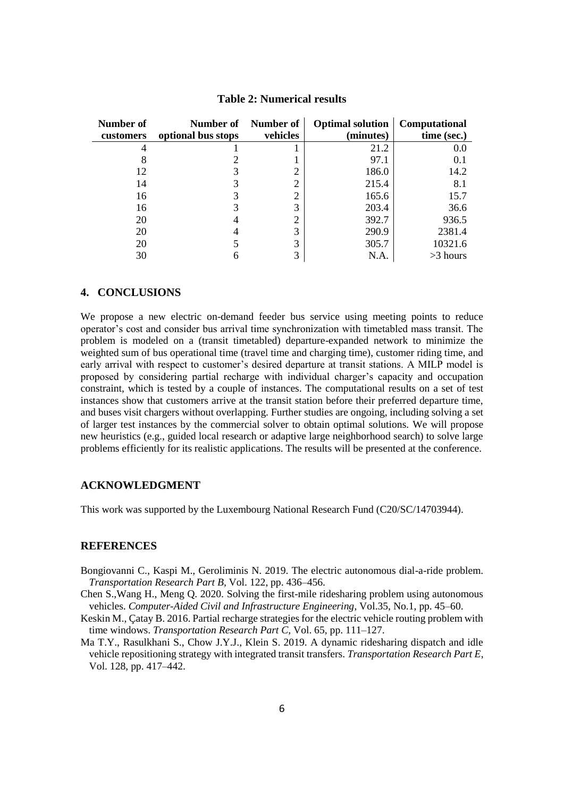| Number of | Number of          | Number of | <b>Optimal solution</b> | Computational |
|-----------|--------------------|-----------|-------------------------|---------------|
| customers | optional bus stops | vehicles  | (minutes)               | time (sec.)   |
|           |                    |           | 21.2                    | 0.0           |
|           |                    |           | 97.1                    | 0.1           |
| 12        |                    | ി         | 186.0                   | 14.2          |
| 14        |                    | ◠         | 215.4                   | 8.1           |
| 16        |                    | ⌒         | 165.6                   | 15.7          |
| 16        |                    | 3         | 203.4                   | 36.6          |
| 20        |                    | ာ         | 392.7                   | 936.5         |
| 20        |                    | 3         | 290.9                   | 2381.4        |
| 20        |                    | 3         | 305.7                   | 10321.6       |
| 30        |                    | 3         | N.A                     | $>3$ hours    |

### **Table 2: Numerical results**

#### **4. CONCLUSIONS**

We propose a new electric on-demand feeder bus service using meeting points to reduce operator's cost and consider bus arrival time synchronization with timetabled mass transit. The problem is modeled on a (transit timetabled) departure-expanded network to minimize the weighted sum of bus operational time (travel time and charging time), customer riding time, and early arrival with respect to customer's desired departure at transit stations. A MILP model is proposed by considering partial recharge with individual charger's capacity and occupation constraint, which is tested by a couple of instances. The computational results on a set of test instances show that customers arrive at the transit station before their preferred departure time, and buses visit chargers without overlapping. Further studies are ongoing, including solving a set of larger test instances by the commercial solver to obtain optimal solutions. We will propose new heuristics (e.g., guided local research or adaptive large neighborhood search) to solve large problems efficiently for its realistic applications. The results will be presented at the conference.

#### **ACKNOWLEDGMENT**

This work was supported by the Luxembourg National Research Fund (C20/SC/14703944).

## **REFERENCES**

- Bongiovanni C., Kaspi M., Geroliminis N. 2019. The electric autonomous dial-a-ride problem. *Transportation Research Part B,* Vol. 122, pp. 436–456.
- Chen S.,Wang H., Meng Q. 2020. Solving the first-mile ridesharing problem using autonomous vehicles. *Computer-Aided Civil and Infrastructure Engineering*, Vol.35, No.1, pp. 45–60.
- Keskin M., Çatay B. 2016. Partial recharge strategies for the electric vehicle routing problem with time windows. *Transportation Research Part C*, Vol. 65, pp. 111–127.
- Ma T.Y., Rasulkhani S., Chow J.Y.J., Klein S. 2019. A dynamic ridesharing dispatch and idle vehicle repositioning strategy with integrated transit transfers. *Transportation Research Part E*, Vol. 128, pp. 417–442.